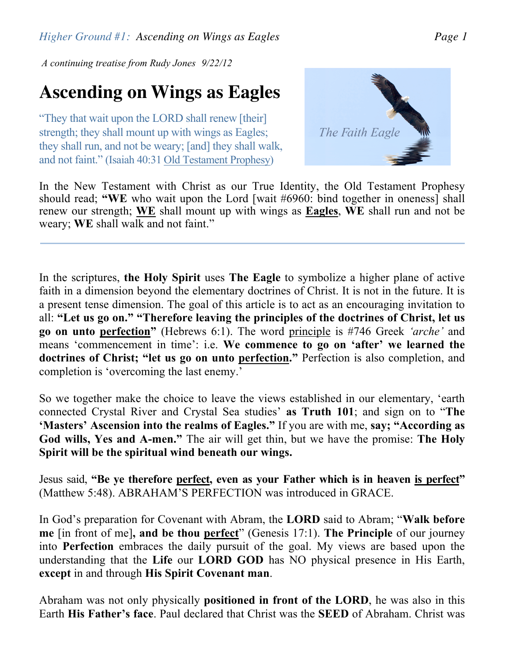*A continuing treatise from Rudy Jones 9/22/12*

## **Ascending on Wings as Eagles**

"They that wait upon the LORD shall renew [their] strength; they shall mount up with wings as Eagles; they shall run, and not be weary; [and] they shall walk, and not faint." (Isaiah 40:31 Old Testament Prophesy)



In the New Testament with Christ as our True Identity, the Old Testament Prophesy should read; **"WE** who wait upon the Lord [wait #6960: bind together in oneness] shall renew our strength; **WE** shall mount up with wings as **Eagles**, **WE** shall run and not be weary; **WE** shall walk and not faint."

In the scriptures, **the Holy Spirit** uses **The Eagle** to symbolize a higher plane of active faith in a dimension beyond the elementary doctrines of Christ. It is not in the future. It is a present tense dimension. The goal of this article is to act as an encouraging invitation to all: **"Let us go on." "Therefore leaving the principles of the doctrines of Christ, let us go on unto perfection"** (Hebrews 6:1). The word principle is #746 Greek *'arche'* and means 'commencement in time': i.e. **We commence to go on 'after' we learned the doctrines of Christ; "let us go on unto perfection."** Perfection is also completion, and completion is 'overcoming the last enemy.'

So we together make the choice to leave the views established in our elementary, 'earth connected Crystal River and Crystal Sea studies' **as Truth 101**; and sign on to "**The 'Masters' Ascension into the realms of Eagles."** If you are with me, **say; "According as God wills, Yes and A-men."** The air will get thin, but we have the promise: **The Holy Spirit will be the spiritual wind beneath our wings.**

Jesus said, **"Be ye therefore perfect, even as your Father which is in heaven is perfect"** (Matthew 5:48). ABRAHAM'S PERFECTION was introduced in GRACE.

In God's preparation for Covenant with Abram, the **LORD** said to Abram; "**Walk before me** [in front of me]**, and be thou perfect**" (Genesis 17:1). **The Principle** of our journey into **Perfection** embraces the daily pursuit of the goal. My views are based upon the understanding that the **Life** our **LORD GOD** has NO physical presence in His Earth, **except** in and through **His Spirit Covenant man**.

Abraham was not only physically **positioned in front of the LORD**, he was also in this Earth **His Father's face**. Paul declared that Christ was the **SEED** of Abraham. Christ was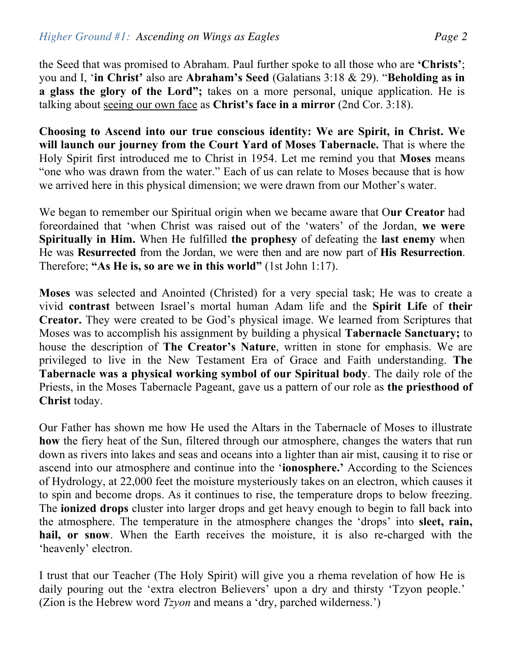the Seed that was promised to Abraham. Paul further spoke to all those who are **'Christs'**; you and I, '**in Christ'** also are **Abraham's Seed** (Galatians 3:18 & 29). "**Beholding as in a glass the glory of the Lord";** takes on a more personal, unique application. He is talking about seeing our own face as **Christ's face in a mirror** (2nd Cor. 3:18).

**Choosing to Ascend into our true conscious identity: We are Spirit, in Christ. We will launch our journey from the Court Yard of Moses Tabernacle.** That is where the Holy Spirit first introduced me to Christ in 1954. Let me remind you that **Moses** means "one who was drawn from the water." Each of us can relate to Moses because that is how we arrived here in this physical dimension; we were drawn from our Mother's water.

We began to remember our Spiritual origin when we became aware that O**ur Creator** had foreordained that 'when Christ was raised out of the 'waters' of the Jordan, **we were Spiritually in Him.** When He fulfilled **the prophesy** of defeating the **last enemy** when He was **Resurrected** from the Jordan, we were then and are now part of **His Resurrection**. Therefore; **"As He is, so are we in this world"** (1st John 1:17).

**Moses** was selected and Anointed (Christed) for a very special task; He was to create a vivid **contrast** between Israel's mortal human Adam life and the **Spirit Life** of **their Creator.** They were created to be God's physical image. We learned from Scriptures that Moses was to accomplish his assignment by building a physical **Tabernacle Sanctuary;** to house the description of **The Creator's Nature**, written in stone for emphasis. We are privileged to live in the New Testament Era of Grace and Faith understanding. **The Tabernacle was a physical working symbol of our Spiritual body**. The daily role of the Priests, in the Moses Tabernacle Pageant, gave us a pattern of our role as **the priesthood of Christ** today.

Our Father has shown me how He used the Altars in the Tabernacle of Moses to illustrate **how** the fiery heat of the Sun, filtered through our atmosphere, changes the waters that run down as rivers into lakes and seas and oceans into a lighter than air mist, causing it to rise or ascend into our atmosphere and continue into the '**ionosphere.'** According to the Sciences of Hydrology, at 22,000 feet the moisture mysteriously takes on an electron, which causes it to spin and become drops. As it continues to rise, the temperature drops to below freezing. The **ionized drops** cluster into larger drops and get heavy enough to begin to fall back into the atmosphere. The temperature in the atmosphere changes the 'drops' into **sleet, rain, hail, or snow**. When the Earth receives the moisture, it is also re-charged with the 'heavenly' electron.

I trust that our Teacher (The Holy Spirit) will give you a rhema revelation of how He is daily pouring out the 'extra electron Believers' upon a dry and thirsty 'Tzyon people.' (Zion is the Hebrew word *Tzyon* and means a 'dry, parched wilderness.')